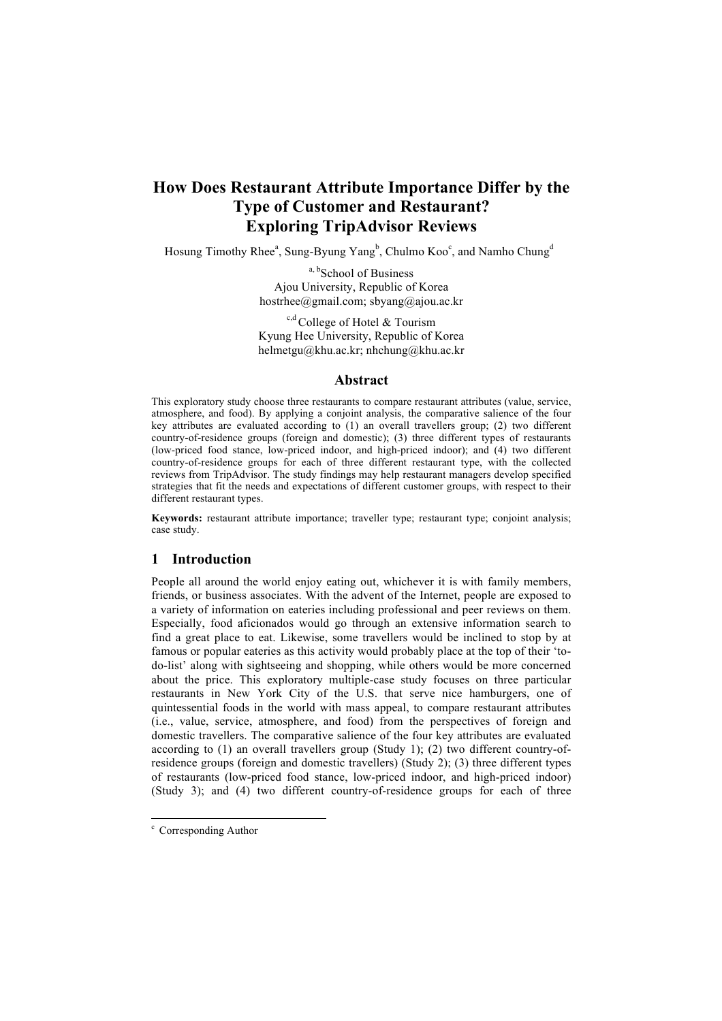## **How Does Restaurant Attribute Importance Differ by the Type of Customer and Restaurant? Exploring TripAdvisor Reviews**

Hosung Timothy Rhee<sup>a</sup>, Sung-Byung Yang<sup>b</sup>, Chulmo Koo<sup>c</sup>, and Namho Chung<sup>d</sup>

a, b<sub>School</sub> of Business Ajou University, Republic of Korea hostrhee@gmail.com; sbyang@ajou.ac.kr

 $c,d$  College of Hotel & Tourism Kyung Hee University, Republic of Korea helmetgu@khu.ac.kr; nhchung@khu.ac.kr

#### **Abstract**

This exploratory study choose three restaurants to compare restaurant attributes (value, service, atmosphere, and food). By applying a conjoint analysis, the comparative salience of the four key attributes are evaluated according to (1) an overall travellers group; (2) two different country-of-residence groups (foreign and domestic); (3) three different types of restaurants (low-priced food stance, low-priced indoor, and high-priced indoor); and (4) two different country-of-residence groups for each of three different restaurant type, with the collected reviews from TripAdvisor. The study findings may help restaurant managers develop specified strategies that fit the needs and expectations of different customer groups, with respect to their different restaurant types.

**Keywords:** restaurant attribute importance; traveller type; restaurant type; conjoint analysis; case study.

#### **1 Introduction**

People all around the world enjoy eating out, whichever it is with family members, friends, or business associates. With the advent of the Internet, people are exposed to a variety of information on eateries including professional and peer reviews on them. Especially, food aficionados would go through an extensive information search to find a great place to eat. Likewise, some travellers would be inclined to stop by at famous or popular eateries as this activity would probably place at the top of their 'todo-list' along with sightseeing and shopping, while others would be more concerned about the price. This exploratory multiple-case study focuses on three particular restaurants in New York City of the U.S. that serve nice hamburgers, one of quintessential foods in the world with mass appeal, to compare restaurant attributes (i.e., value, service, atmosphere, and food) from the perspectives of foreign and domestic travellers. The comparative salience of the four key attributes are evaluated according to (1) an overall travellers group (Study 1); (2) two different country-ofresidence groups (foreign and domestic travellers) (Study 2); (3) three different types of restaurants (low-priced food stance, low-priced indoor, and high-priced indoor) (Study 3); and (4) two different country-of-residence groups for each of three

 $\degree$  Corresponding Author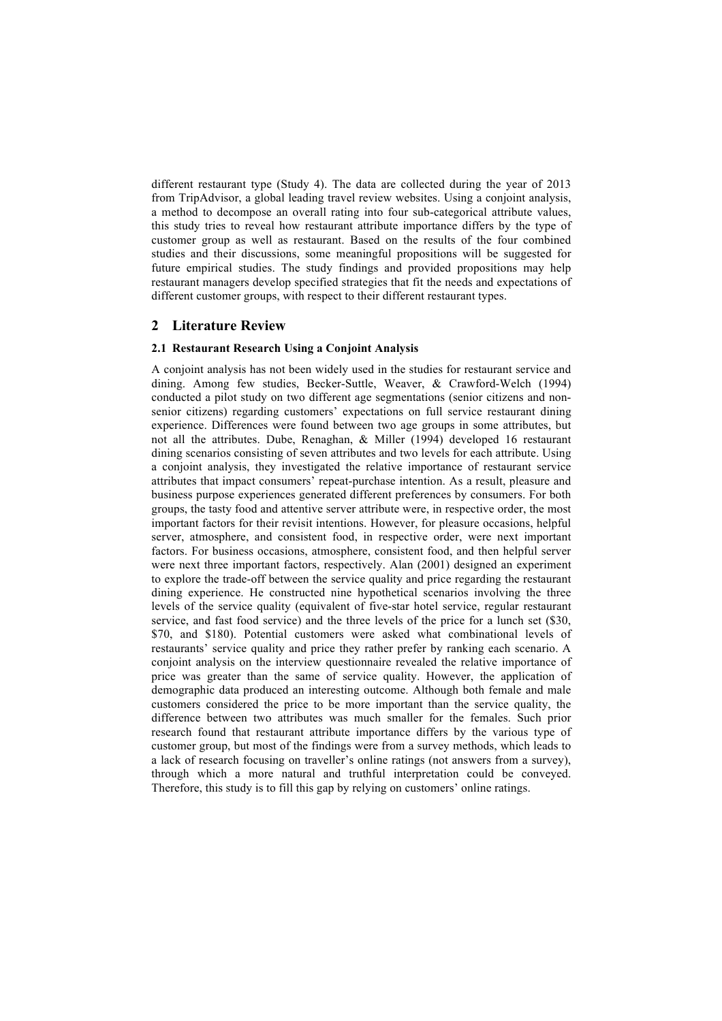different restaurant type (Study 4). The data are collected during the year of 2013 from TripAdvisor, a global leading travel review websites. Using a conjoint analysis, a method to decompose an overall rating into four sub-categorical attribute values, this study tries to reveal how restaurant attribute importance differs by the type of customer group as well as restaurant. Based on the results of the four combined studies and their discussions, some meaningful propositions will be suggested for future empirical studies. The study findings and provided propositions may help restaurant managers develop specified strategies that fit the needs and expectations of different customer groups, with respect to their different restaurant types.

## **2 Literature Review**

### **2.1 Restaurant Research Using a Conjoint Analysis**

A conjoint analysis has not been widely used in the studies for restaurant service and dining. Among few studies, Becker-Suttle, Weaver, & Crawford-Welch (1994) conducted a pilot study on two different age segmentations (senior citizens and nonsenior citizens) regarding customers' expectations on full service restaurant dining experience. Differences were found between two age groups in some attributes, but not all the attributes. Dube, Renaghan, & Miller (1994) developed 16 restaurant dining scenarios consisting of seven attributes and two levels for each attribute. Using a conjoint analysis, they investigated the relative importance of restaurant service attributes that impact consumers' repeat-purchase intention. As a result, pleasure and business purpose experiences generated different preferences by consumers. For both groups, the tasty food and attentive server attribute were, in respective order, the most important factors for their revisit intentions. However, for pleasure occasions, helpful server, atmosphere, and consistent food, in respective order, were next important factors. For business occasions, atmosphere, consistent food, and then helpful server were next three important factors, respectively. Alan (2001) designed an experiment to explore the trade-off between the service quality and price regarding the restaurant dining experience. He constructed nine hypothetical scenarios involving the three levels of the service quality (equivalent of five-star hotel service, regular restaurant service, and fast food service) and the three levels of the price for a lunch set (\$30, \$70, and \$180). Potential customers were asked what combinational levels of restaurants' service quality and price they rather prefer by ranking each scenario. A conjoint analysis on the interview questionnaire revealed the relative importance of price was greater than the same of service quality. However, the application of demographic data produced an interesting outcome. Although both female and male customers considered the price to be more important than the service quality, the difference between two attributes was much smaller for the females. Such prior research found that restaurant attribute importance differs by the various type of customer group, but most of the findings were from a survey methods, which leads to a lack of research focusing on traveller's online ratings (not answers from a survey), through which a more natural and truthful interpretation could be conveyed. Therefore, this study is to fill this gap by relying on customers' online ratings.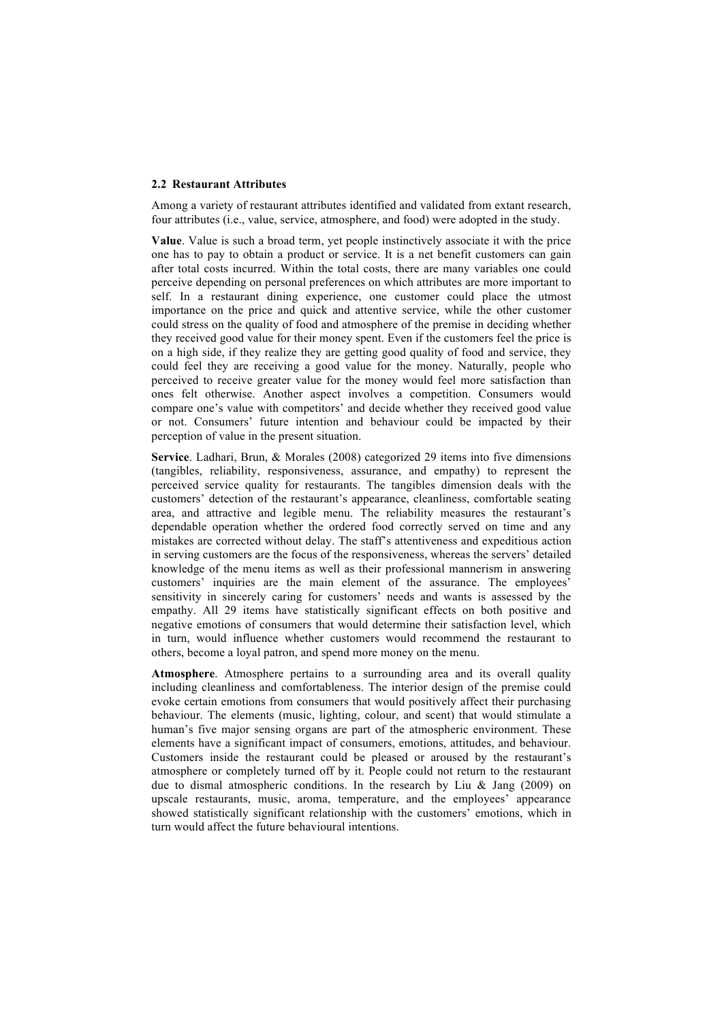#### **2.2 Restaurant Attributes**

Among a variety of restaurant attributes identified and validated from extant research, four attributes (i.e., value, service, atmosphere, and food) were adopted in the study.

**Value**. Value is such a broad term, yet people instinctively associate it with the price one has to pay to obtain a product or service. It is a net benefit customers can gain after total costs incurred. Within the total costs, there are many variables one could perceive depending on personal preferences on which attributes are more important to self. In a restaurant dining experience, one customer could place the utmost importance on the price and quick and attentive service, while the other customer could stress on the quality of food and atmosphere of the premise in deciding whether they received good value for their money spent. Even if the customers feel the price is on a high side, if they realize they are getting good quality of food and service, they could feel they are receiving a good value for the money. Naturally, people who perceived to receive greater value for the money would feel more satisfaction than ones felt otherwise. Another aspect involves a competition. Consumers would compare one's value with competitors' and decide whether they received good value or not. Consumers' future intention and behaviour could be impacted by their perception of value in the present situation.

**Service**. Ladhari, Brun, & Morales (2008) categorized 29 items into five dimensions (tangibles, reliability, responsiveness, assurance, and empathy) to represent the perceived service quality for restaurants. The tangibles dimension deals with the customers' detection of the restaurant's appearance, cleanliness, comfortable seating area, and attractive and legible menu. The reliability measures the restaurant's dependable operation whether the ordered food correctly served on time and any mistakes are corrected without delay. The staff's attentiveness and expeditious action in serving customers are the focus of the responsiveness, whereas the servers' detailed knowledge of the menu items as well as their professional mannerism in answering customers' inquiries are the main element of the assurance. The employees' sensitivity in sincerely caring for customers' needs and wants is assessed by the empathy. All 29 items have statistically significant effects on both positive and negative emotions of consumers that would determine their satisfaction level, which in turn, would influence whether customers would recommend the restaurant to others, become a loyal patron, and spend more money on the menu.

**Atmosphere**. Atmosphere pertains to a surrounding area and its overall quality including cleanliness and comfortableness. The interior design of the premise could evoke certain emotions from consumers that would positively affect their purchasing behaviour. The elements (music, lighting, colour, and scent) that would stimulate a human's five major sensing organs are part of the atmospheric environment. These elements have a significant impact of consumers, emotions, attitudes, and behaviour. Customers inside the restaurant could be pleased or aroused by the restaurant's atmosphere or completely turned off by it. People could not return to the restaurant due to dismal atmospheric conditions. In the research by Liu & Jang (2009) on upscale restaurants, music, aroma, temperature, and the employees' appearance showed statistically significant relationship with the customers' emotions, which in turn would affect the future behavioural intentions.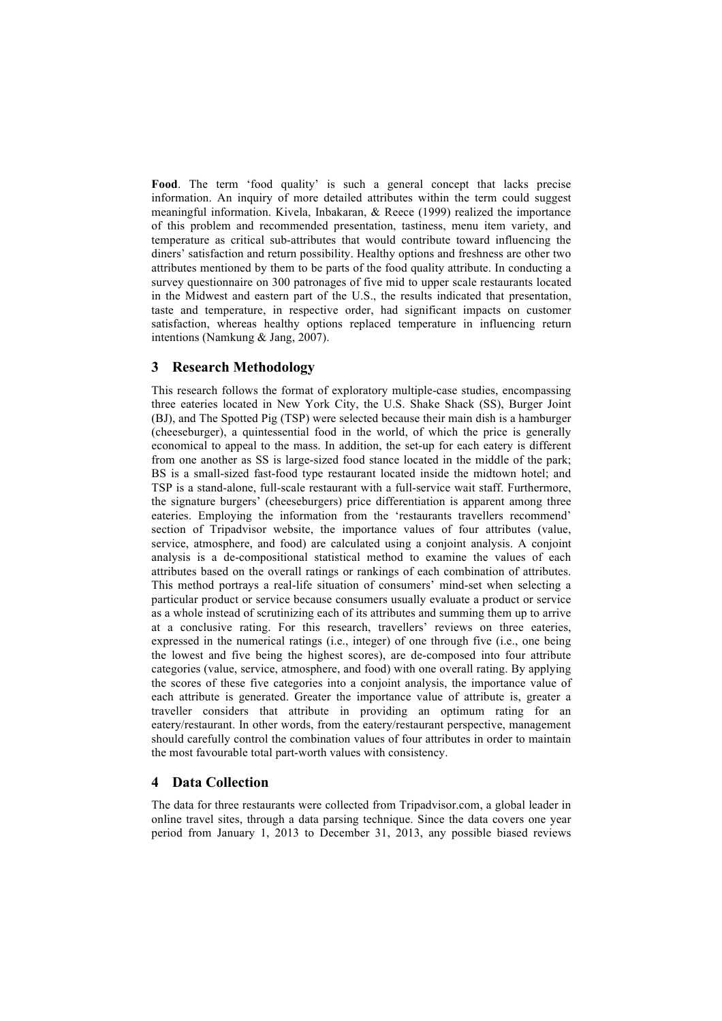**Food**. The term 'food quality' is such a general concept that lacks precise information. An inquiry of more detailed attributes within the term could suggest meaningful information. Kivela, Inbakaran, & Reece (1999) realized the importance of this problem and recommended presentation, tastiness, menu item variety, and temperature as critical sub-attributes that would contribute toward influencing the diners' satisfaction and return possibility. Healthy options and freshness are other two attributes mentioned by them to be parts of the food quality attribute. In conducting a survey questionnaire on 300 patronages of five mid to upper scale restaurants located in the Midwest and eastern part of the U.S., the results indicated that presentation, taste and temperature, in respective order, had significant impacts on customer satisfaction, whereas healthy options replaced temperature in influencing return intentions (Namkung & Jang, 2007).

## **3 Research Methodology**

This research follows the format of exploratory multiple-case studies, encompassing three eateries located in New York City, the U.S. Shake Shack (SS), Burger Joint (BJ), and The Spotted Pig (TSP) were selected because their main dish is a hamburger (cheeseburger), a quintessential food in the world, of which the price is generally economical to appeal to the mass. In addition, the set-up for each eatery is different from one another as SS is large-sized food stance located in the middle of the park; BS is a small-sized fast-food type restaurant located inside the midtown hotel; and TSP is a stand-alone, full-scale restaurant with a full-service wait staff. Furthermore, the signature burgers' (cheeseburgers) price differentiation is apparent among three eateries. Employing the information from the 'restaurants travellers recommend' section of Tripadvisor website, the importance values of four attributes (value, service, atmosphere, and food) are calculated using a conjoint analysis. A conjoint analysis is a de-compositional statistical method to examine the values of each attributes based on the overall ratings or rankings of each combination of attributes. This method portrays a real-life situation of consumers' mind-set when selecting a particular product or service because consumers usually evaluate a product or service as a whole instead of scrutinizing each of its attributes and summing them up to arrive at a conclusive rating. For this research, travellers' reviews on three eateries, expressed in the numerical ratings (i.e., integer) of one through five (i.e., one being the lowest and five being the highest scores), are de-composed into four attribute categories (value, service, atmosphere, and food) with one overall rating. By applying the scores of these five categories into a conjoint analysis, the importance value of each attribute is generated. Greater the importance value of attribute is, greater a traveller considers that attribute in providing an optimum rating for an eatery/restaurant. In other words, from the eatery/restaurant perspective, management should carefully control the combination values of four attributes in order to maintain the most favourable total part-worth values with consistency.

### **4 Data Collection**

The data for three restaurants were collected from Tripadvisor.com, a global leader in online travel sites, through a data parsing technique. Since the data covers one year period from January 1, 2013 to December 31, 2013, any possible biased reviews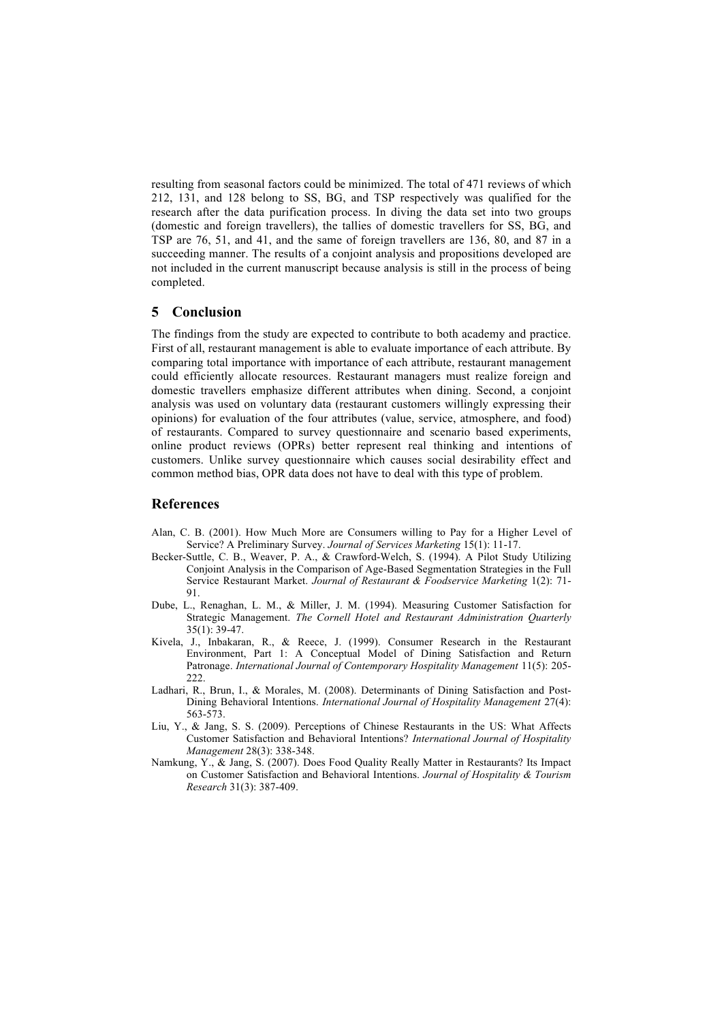resulting from seasonal factors could be minimized. The total of 471 reviews of which 212, 131, and 128 belong to SS, BG, and TSP respectively was qualified for the research after the data purification process. In diving the data set into two groups (domestic and foreign travellers), the tallies of domestic travellers for SS, BG, and TSP are 76, 51, and 41, and the same of foreign travellers are 136, 80, and 87 in a succeeding manner. The results of a conjoint analysis and propositions developed are not included in the current manuscript because analysis is still in the process of being completed.

## **5 Conclusion**

The findings from the study are expected to contribute to both academy and practice. First of all, restaurant management is able to evaluate importance of each attribute. By comparing total importance with importance of each attribute, restaurant management could efficiently allocate resources. Restaurant managers must realize foreign and domestic travellers emphasize different attributes when dining. Second, a conjoint analysis was used on voluntary data (restaurant customers willingly expressing their opinions) for evaluation of the four attributes (value, service, atmosphere, and food) of restaurants. Compared to survey questionnaire and scenario based experiments, online product reviews (OPRs) better represent real thinking and intentions of customers. Unlike survey questionnaire which causes social desirability effect and common method bias, OPR data does not have to deal with this type of problem.

#### **References**

- Alan, C. B. (2001). How Much More are Consumers willing to Pay for a Higher Level of Service? A Preliminary Survey. *Journal of Services Marketing* 15(1): 11-17.
- Becker-Suttle, C. B., Weaver, P. A., & Crawford-Welch, S. (1994). A Pilot Study Utilizing Conjoint Analysis in the Comparison of Age-Based Segmentation Strategies in the Full Service Restaurant Market. *Journal of Restaurant & Foodservice Marketing* 1(2): 71- 91.
- Dube, L., Renaghan, L. M., & Miller, J. M. (1994). Measuring Customer Satisfaction for Strategic Management. *The Cornell Hotel and Restaurant Administration Quarterly* 35(1): 39-47.
- Kivela, J., Inbakaran, R., & Reece, J. (1999). Consumer Research in the Restaurant Environment, Part 1: A Conceptual Model of Dining Satisfaction and Return Patronage. *International Journal of Contemporary Hospitality Management* 11(5): 205- 222.
- Ladhari, R., Brun, I., & Morales, M. (2008). Determinants of Dining Satisfaction and Post-Dining Behavioral Intentions. *International Journal of Hospitality Management* 27(4): 563-573.
- Liu, Y., & Jang, S. S. (2009). Perceptions of Chinese Restaurants in the US: What Affects Customer Satisfaction and Behavioral Intentions? *International Journal of Hospitality Management* 28(3): 338-348.
- Namkung, Y., & Jang, S. (2007). Does Food Quality Really Matter in Restaurants? Its Impact on Customer Satisfaction and Behavioral Intentions. *Journal of Hospitality & Tourism Research* 31(3): 387-409.